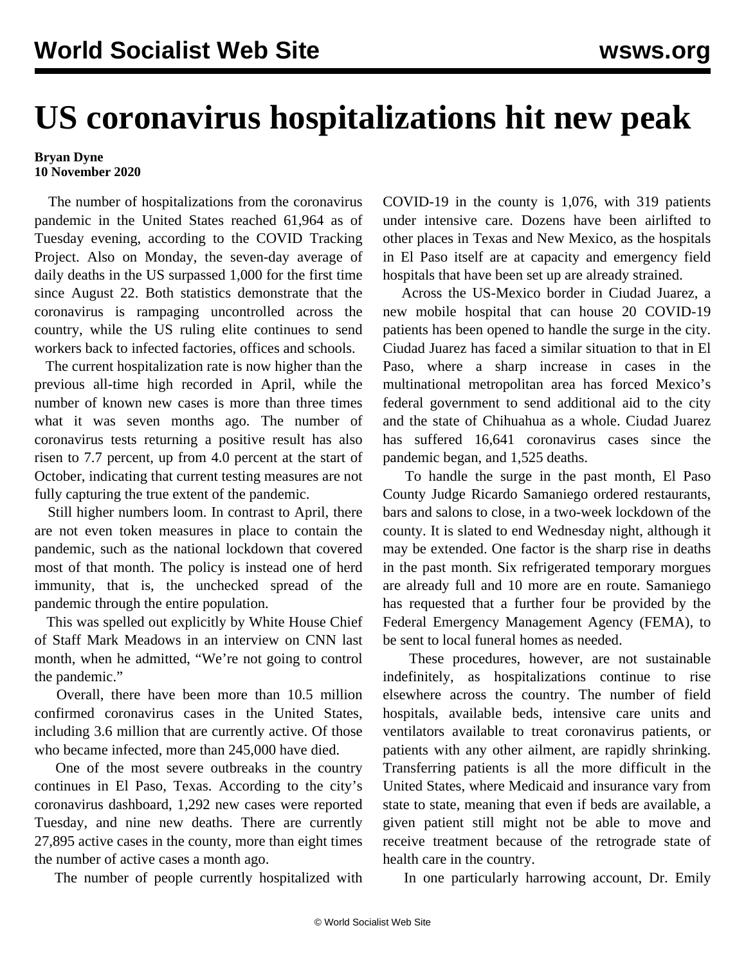## **US coronavirus hospitalizations hit new peak**

## **Bryan Dyne 10 November 2020**

 The number of hospitalizations from the coronavirus pandemic in the United States reached 61,964 as of Tuesday evening, according to the COVID Tracking Project. Also on Monday, the seven-day average of daily deaths in the US surpassed 1,000 for the first time since August 22. Both statistics demonstrate that the coronavirus is rampaging uncontrolled across the country, while the US ruling elite continues to send workers back to infected factories, offices and schools.

 The current hospitalization rate is now higher than the previous all-time high recorded in April, while the number of known new cases is more than three times what it was seven months ago. The number of coronavirus tests returning a positive result has also risen to 7.7 percent, up from 4.0 percent at the start of October, indicating that current testing measures are not fully capturing the true extent of the pandemic.

 Still higher numbers loom. In contrast to April, there are not even token measures in place to contain the pandemic, such as the national lockdown that covered most of that month. The policy is instead one of herd immunity, that is, the unchecked spread of the pandemic through the entire population.

 This was spelled out explicitly by White House Chief of Staff Mark Meadows in an interview on CNN last month, when he admitted, "We're not going to control the pandemic."

 Overall, there have been more than 10.5 million confirmed coronavirus cases in the United States, including 3.6 million that are currently active. Of those who became infected, more than 245,000 have died.

 One of the most severe outbreaks in the country continues in El Paso, Texas. According to the city's coronavirus dashboard, 1,292 new cases were reported Tuesday, and nine new deaths. There are currently 27,895 active cases in the county, more than eight times the number of active cases a month ago.

The number of people currently hospitalized with

COVID-19 in the county is 1,076, with 319 patients under intensive care. Dozens have been airlifted to other places in Texas and New Mexico, as the hospitals in El Paso itself are at capacity and emergency field hospitals that have been set up are already strained.

 Across the US-Mexico border in Ciudad Juarez, a new mobile hospital that can house 20 COVID-19 patients has been opened to handle the surge in the city. Ciudad Juarez has faced a similar situation to that in El Paso, where a sharp increase in cases in the multinational metropolitan area has forced Mexico's federal government to send additional aid to the city and the state of Chihuahua as a whole. Ciudad Juarez has suffered 16,641 coronavirus cases since the pandemic began, and 1,525 deaths.

 To handle the surge in the past month, El Paso County Judge Ricardo Samaniego ordered restaurants, bars and salons to close, in a two-week lockdown of the county. It is slated to end Wednesday night, although it may be extended. One factor is the sharp rise in deaths in the past month. Six refrigerated temporary morgues are already full and 10 more are en route. Samaniego has requested that a further four be provided by the Federal Emergency Management Agency (FEMA), to be sent to local funeral homes as needed.

 These procedures, however, are not sustainable indefinitely, as hospitalizations continue to rise elsewhere across the country. The number of field hospitals, available beds, intensive care units and ventilators available to treat coronavirus patients, or patients with any other ailment, are rapidly shrinking. Transferring patients is all the more difficult in the United States, where Medicaid and insurance vary from state to state, meaning that even if beds are available, a given patient still might not be able to move and receive treatment because of the retrograde state of health care in the country.

In one particularly harrowing [account](https://twitter.com/dremilyportermd), Dr. Emily